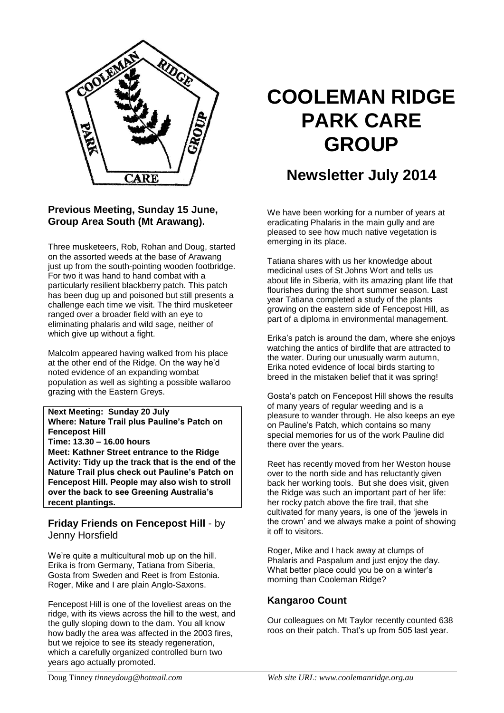

## **Previous Meeting, Sunday 15 June, Group Area South (Mt Arawang).**

Three musketeers, Rob, Rohan and Doug, started on the assorted weeds at the base of Arawang just up from the south-pointing wooden footbridge. For two it was hand to hand combat with a particularly resilient blackberry patch. This patch has been dug up and poisoned but still presents a challenge each time we visit. The third musketeer ranged over a broader field with an eye to eliminating phalaris and wild sage, neither of which give up without a fight.

Malcolm appeared having walked from his place at the other end of the Ridge. On the way he'd noted evidence of an expanding wombat population as well as sighting a possible wallaroo grazing with the Eastern Greys.

#### **Next Meeting: Sunday 20 July**

**Where: Nature Trail plus Pauline's Patch on Fencepost Hill**

**Time: 13.30 – 16.00 hours**

**Meet: Kathner Street entrance to the Ridge Activity: Tidy up the track that is the end of the Nature Trail plus check out Pauline's Patch on Fencepost Hill. People may also wish to stroll over the back to see Greening Australia's recent plantings.**

### **Friday Friends on Fencepost Hill** - by Jenny Horsfield

We're quite a multicultural mob up on the hill. Erika is from Germany, Tatiana from Siberia, Gosta from Sweden and Reet is from Estonia. Roger, Mike and I are plain Anglo-Saxons.

Fencepost Hill is one of the loveliest areas on the ridge, with its views across the hill to the west, and the gully sloping down to the dam. You all know how badly the area was affected in the 2003 fires, but we rejoice to see its steady regeneration, which a carefully organized controlled burn two years ago actually promoted.

# **COOLEMAN RIDGE PARK CARE GROUP**

# **Newsletter July 2014**

We have been working for a number of years at eradicating Phalaris in the main gully and are pleased to see how much native vegetation is emerging in its place.

Tatiana shares with us her knowledge about medicinal uses of St Johns Wort and tells us about life in Siberia, with its amazing plant life that flourishes during the short summer season. Last year Tatiana completed a study of the plants growing on the eastern side of Fencepost Hill, as part of a diploma in environmental management.

Erika's patch is around the dam, where she enjoys watching the antics of birdlife that are attracted to the water. During our unusually warm autumn, Erika noted evidence of local birds starting to breed in the mistaken belief that it was spring!

Gosta's patch on Fencepost Hill shows the results of many years of regular weeding and is a pleasure to wander through. He also keeps an eye on Pauline's Patch, which contains so many special memories for us of the work Pauline did there over the years.

Reet has recently moved from her Weston house over to the north side and has reluctantly given back her working tools. But she does visit, given the Ridge was such an important part of her life: her rocky patch above the fire trail, that she cultivated for many years, is one of the 'jewels in the crown' and we always make a point of showing it off to visitors.

Roger, Mike and I hack away at clumps of Phalaris and Paspalum and just enjoy the day. What better place could you be on a winter's morning than Cooleman Ridge?

### **Kangaroo Count**

Our colleagues on Mt Taylor recently counted 638 roos on their patch. That's up from 505 last year.